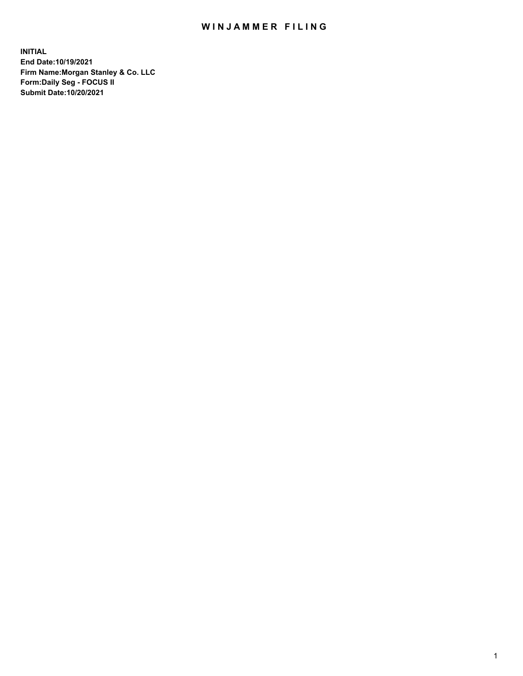## WIN JAMMER FILING

**INITIAL End Date:10/19/2021 Firm Name:Morgan Stanley & Co. LLC Form:Daily Seg - FOCUS II Submit Date:10/20/2021**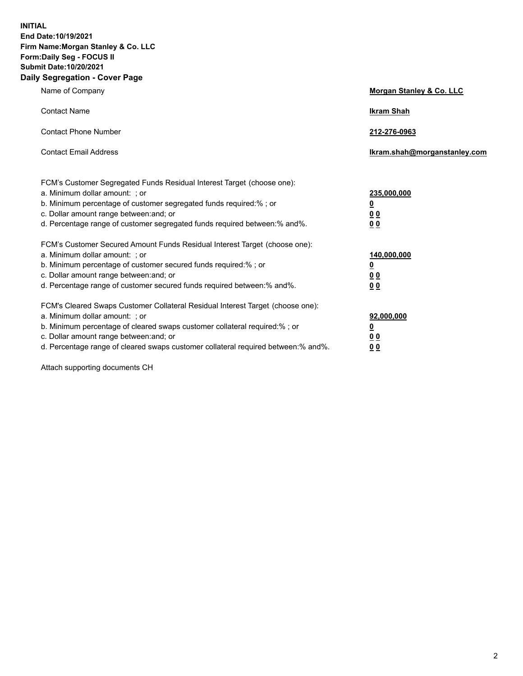**INITIAL End Date:10/19/2021 Firm Name:Morgan Stanley & Co. LLC Form:Daily Seg - FOCUS II Submit Date:10/20/2021 Daily Segregation - Cover Page**

| Name of Company                                                                                                                                                                                                                                                                                                               | Morgan Stanley & Co. LLC                               |
|-------------------------------------------------------------------------------------------------------------------------------------------------------------------------------------------------------------------------------------------------------------------------------------------------------------------------------|--------------------------------------------------------|
| <b>Contact Name</b>                                                                                                                                                                                                                                                                                                           | <b>Ikram Shah</b>                                      |
| <b>Contact Phone Number</b>                                                                                                                                                                                                                                                                                                   | 212-276-0963                                           |
| <b>Contact Email Address</b>                                                                                                                                                                                                                                                                                                  | Ikram.shah@morganstanley.com                           |
| FCM's Customer Segregated Funds Residual Interest Target (choose one):<br>a. Minimum dollar amount: ; or<br>b. Minimum percentage of customer segregated funds required:% ; or<br>c. Dollar amount range between: and; or<br>d. Percentage range of customer segregated funds required between:% and%.                        | 235,000,000<br><u>0</u><br><u>00</u><br>0 <sup>0</sup> |
| FCM's Customer Secured Amount Funds Residual Interest Target (choose one):<br>a. Minimum dollar amount: ; or<br>b. Minimum percentage of customer secured funds required:%; or<br>c. Dollar amount range between: and; or<br>d. Percentage range of customer secured funds required between:% and%.                           | 140,000,000<br><u>0</u><br><u>00</u><br>0 <sub>0</sub> |
| FCM's Cleared Swaps Customer Collateral Residual Interest Target (choose one):<br>a. Minimum dollar amount: ; or<br>b. Minimum percentage of cleared swaps customer collateral required:%; or<br>c. Dollar amount range between: and; or<br>d. Percentage range of cleared swaps customer collateral required between:% and%. | 92,000,000<br><u>0</u><br>0 Q<br>00                    |

Attach supporting documents CH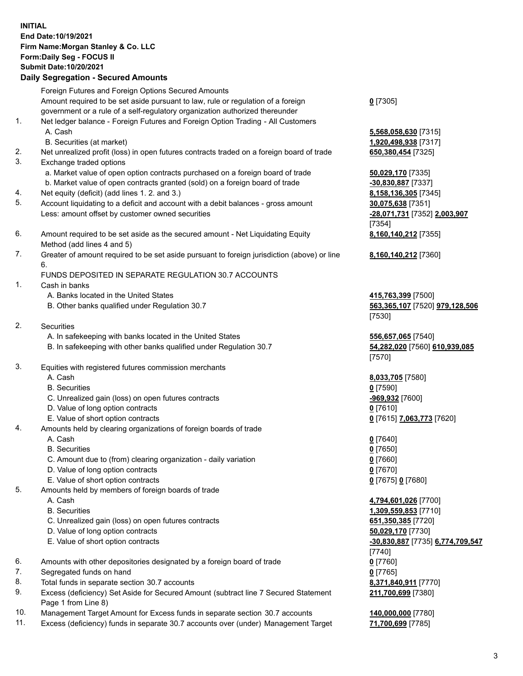## **INITIAL End Date:10/19/2021 Firm Name:Morgan Stanley & Co. LLC Form:Daily Seg - FOCUS II Submit Date:10/20/2021**

## **Daily Segregation - Secured Amounts**

Foreign Futures and Foreign Options Secured Amounts Amount required to be set aside pursuant to law, rule or regulation of a foreign government or a rule of a self-regulatory organization authorized thereunder 1. Net ledger balance - Foreign Futures and Foreign Option Trading - All Customers A. Cash **5,568,058,630** [7315] B. Securities (at market) **1,920,498,938** [7317] 2. Net unrealized profit (loss) in open futures contracts traded on a foreign board of trade **650,380,454** [7325] 3. Exchange traded options a. Market value of open option contracts purchased on a foreign board of trade **50,029,170** [7335] b. Market value of open contracts granted (sold) on a foreign board of trade **-30,830,887** [7337] 4. Net equity (deficit) (add lines 1. 2. and 3.) **8,158,136,305** [7345] 5. Account liquidating to a deficit and account with a debit balances - gross amount **30,075,638** [7351] Less: amount offset by customer owned securities **-28,071,731** [7352] **2,003,907** 6. Amount required to be set aside as the secured amount - Net Liquidating Equity Method (add lines 4 and 5) 7. Greater of amount required to be set aside pursuant to foreign jurisdiction (above) or line 6. FUNDS DEPOSITED IN SEPARATE REGULATION 30.7 ACCOUNTS 1. Cash in banks A. Banks located in the United States **415,763,399** [7500] B. Other banks qualified under Regulation 30.7 **563,365,107** [7520] **979,128,506**

- 2. Securities
	- A. In safekeeping with banks located in the United States **556,657,065** [7540]
	- B. In safekeeping with other banks qualified under Regulation 30.7 **54,282,020** [7560] **610,939,085**
- 3. Equities with registered futures commission merchants
	-
	- B. Securities **0** [7590]
	- C. Unrealized gain (loss) on open futures contracts **-969,932** [7600]
	- D. Value of long option contracts **0** [7610]
	- E. Value of short option contracts **0** [7615] **7,063,773** [7620]
- 4. Amounts held by clearing organizations of foreign boards of trade
	- A. Cash **0** [7640]
	- B. Securities **0** [7650]
	- C. Amount due to (from) clearing organization daily variation **0** [7660]
	- D. Value of long option contracts **0** [7670]
	- E. Value of short option contracts **0** [7675] **0** [7680]
- 5. Amounts held by members of foreign boards of trade
	-
	-
	- C. Unrealized gain (loss) on open futures contracts **651,350,385** [7720]
	- D. Value of long option contracts **50,029,170** [7730]
	- E. Value of short option contracts **-30,830,887** [7735] **6,774,709,547**
- 6. Amounts with other depositories designated by a foreign board of trade **0** [7760]
- 7. Segregated funds on hand **0** [7765]
- 8. Total funds in separate section 30.7 accounts **8,371,840,911** [7770]
- 9. Excess (deficiency) Set Aside for Secured Amount (subtract line 7 Secured Statement Page 1 from Line 8)
- 10. Management Target Amount for Excess funds in separate section 30.7 accounts **140,000,000** [7780]
- 11. Excess (deficiency) funds in separate 30.7 accounts over (under) Management Target **71,700,699** [7785]

**0** [7305]

[7354] **8,160,140,212** [7355]

**8,160,140,212** [7360]

[7530]

[7570]

A. Cash **8,033,705** [7580]

 A. Cash **4,794,601,026** [7700] B. Securities **1,309,559,853** [7710] [7740] **211,700,699** [7380]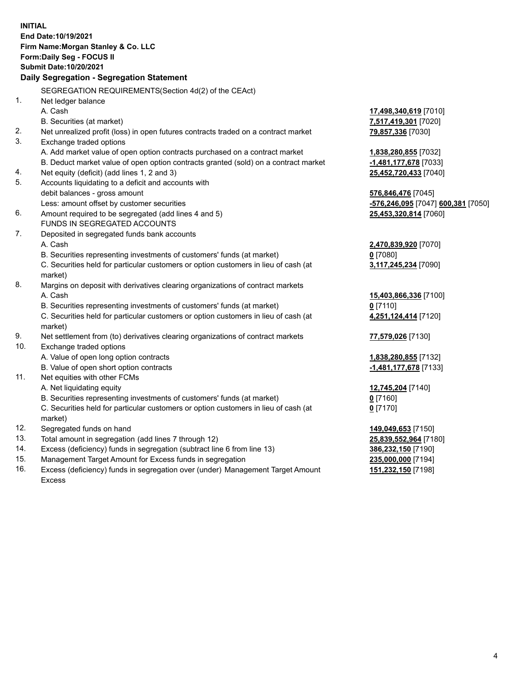| <b>INITIAL</b>           | End Date: 10/19/2021<br>Firm Name: Morgan Stanley & Co. LLC<br>Form: Daily Seg - FOCUS II<br>Submit Date: 10/20/2021                                                                                                                                                  |                                                                                         |
|--------------------------|-----------------------------------------------------------------------------------------------------------------------------------------------------------------------------------------------------------------------------------------------------------------------|-----------------------------------------------------------------------------------------|
|                          | Daily Segregation - Segregation Statement                                                                                                                                                                                                                             |                                                                                         |
| 1.                       | SEGREGATION REQUIREMENTS(Section 4d(2) of the CEAct)<br>Net ledger balance<br>A. Cash                                                                                                                                                                                 | 17,498,340,619 [7010]                                                                   |
| 2.<br>3.                 | B. Securities (at market)<br>Net unrealized profit (loss) in open futures contracts traded on a contract market<br>Exchange traded options                                                                                                                            | 7,517,419,301 [7020]<br>79,857,336 [7030]                                               |
| 4.                       | A. Add market value of open option contracts purchased on a contract market<br>B. Deduct market value of open option contracts granted (sold) on a contract market<br>Net equity (deficit) (add lines 1, 2 and 3)                                                     | 1,838,280,855 [7032]<br>-1,481,177,678 [7033]<br>25,452,720,433 [7040]                  |
| 5.                       | Accounts liquidating to a deficit and accounts with<br>debit balances - gross amount                                                                                                                                                                                  | 576,846,476 [7045]                                                                      |
| 6.                       | Less: amount offset by customer securities<br>Amount required to be segregated (add lines 4 and 5)<br>FUNDS IN SEGREGATED ACCOUNTS                                                                                                                                    | -576,246,095 [7047] 600,381 [7050]<br>25,453,320,814 [7060]                             |
| 7.                       | Deposited in segregated funds bank accounts<br>A. Cash<br>B. Securities representing investments of customers' funds (at market)<br>C. Securities held for particular customers or option customers in lieu of cash (at<br>market)                                    | 2,470,839,920 [7070]<br>$0$ [7080]<br>3,117,245,234 [7090]                              |
| 8.                       | Margins on deposit with derivatives clearing organizations of contract markets<br>A. Cash<br>B. Securities representing investments of customers' funds (at market)<br>C. Securities held for particular customers or option customers in lieu of cash (at<br>market) | 15,403,866,336 [7100]<br>$0$ [7110]<br>4,251,124,414 [7120]                             |
| 9.<br>10.                | Net settlement from (to) derivatives clearing organizations of contract markets<br>Exchange traded options                                                                                                                                                            | 77,579,026 [7130]                                                                       |
| 11.                      | A. Value of open long option contracts<br>B. Value of open short option contracts<br>Net equities with other FCMs                                                                                                                                                     | 1,838,280,855 [7132]<br>-1,481,177,678 [7133]                                           |
|                          | A. Net liquidating equity<br>B. Securities representing investments of customers' funds (at market)<br>C. Securities held for particular customers or option customers in lieu of cash (at<br>market)                                                                 | 12,745,204 [7140]<br>$0$ [7160]<br>$0$ [7170]                                           |
| 12.<br>13.<br>14.<br>15. | Segregated funds on hand<br>Total amount in segregation (add lines 7 through 12)<br>Excess (deficiency) funds in segregation (subtract line 6 from line 13)<br>Management Target Amount for Excess funds in segregation                                               | 149,049,653 [7150]<br>25,839,552,964 [7180]<br>386,232,150 [7190]<br>235,000,000 [7194] |
| 16.                      | Excess (deficiency) funds in segregation over (under) Management Target Amount<br><b>Excess</b>                                                                                                                                                                       | 151,232,150 [7198]                                                                      |